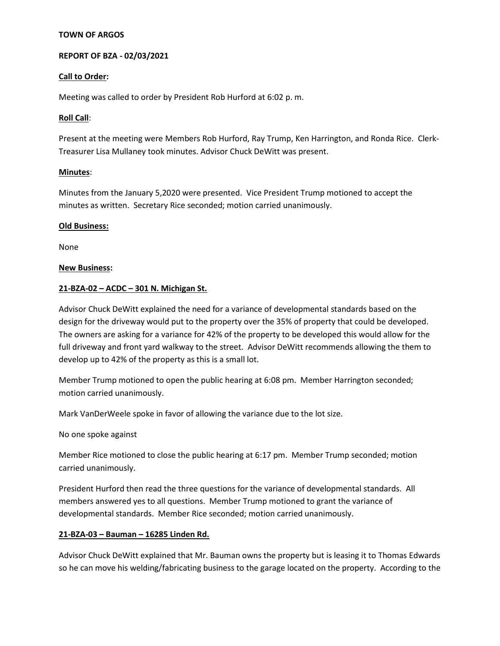### **TOWN OF ARGOS**

### **REPORT OF BZA - 02/03/2021**

### **Call to Order:**

Meeting was called to order by President Rob Hurford at 6:02 p. m.

### **Roll Call**:

Present at the meeting were Members Rob Hurford, Ray Trump, Ken Harrington, and Ronda Rice. Clerk-Treasurer Lisa Mullaney took minutes. Advisor Chuck DeWitt was present.

### **Minutes**:

Minutes from the January 5,2020 were presented. Vice President Trump motioned to accept the minutes as written. Secretary Rice seconded; motion carried unanimously.

### **Old Business:**

None

### **New Business:**

### **21-BZA-02 – ACDC – 301 N. Michigan St.**

Advisor Chuck DeWitt explained the need for a variance of developmental standards based on the design for the driveway would put to the property over the 35% of property that could be developed. The owners are asking for a variance for 42% of the property to be developed this would allow for the full driveway and front yard walkway to the street. Advisor DeWitt recommends allowing the them to develop up to 42% of the property as this is a small lot.

Member Trump motioned to open the public hearing at 6:08 pm. Member Harrington seconded; motion carried unanimously.

Mark VanDerWeele spoke in favor of allowing the variance due to the lot size.

No one spoke against

Member Rice motioned to close the public hearing at 6:17 pm. Member Trump seconded; motion carried unanimously.

President Hurford then read the three questions for the variance of developmental standards. All members answered yes to all questions. Member Trump motioned to grant the variance of developmental standards. Member Rice seconded; motion carried unanimously.

# **21-BZA-03 – Bauman – 16285 Linden Rd.**

Advisor Chuck DeWitt explained that Mr. Bauman owns the property but is leasing it to Thomas Edwards so he can move his welding/fabricating business to the garage located on the property. According to the